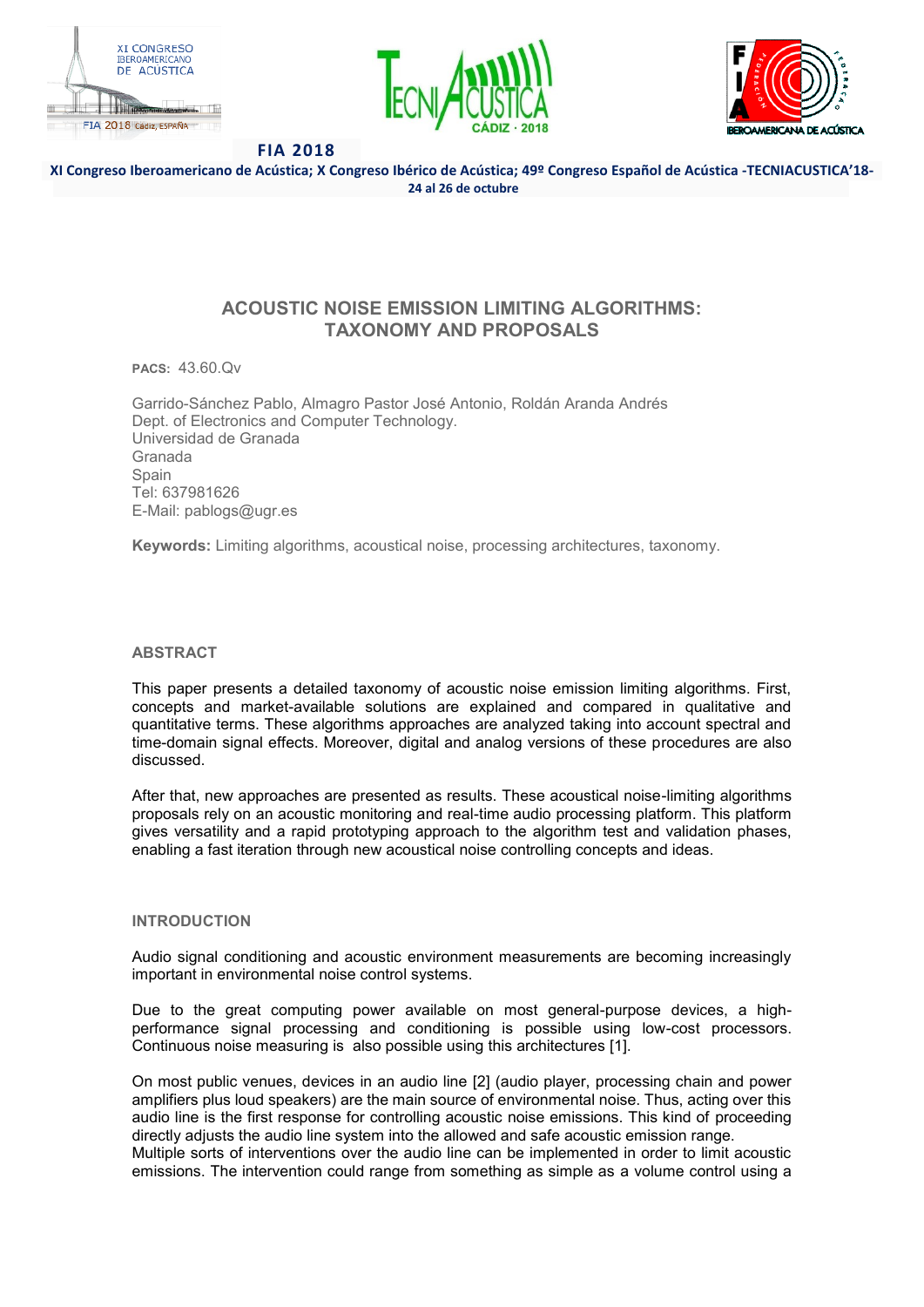





**XI Congreso Iberoamericano de Acústica; X Congreso Ibérico de Acústica; 49º Congreso Español de Acústica -TECNIACUSTICA'18- 24 al 26 de octubre**

# **ACOUSTIC NOISE EMISSION LIMITING ALGORITHMS: TAXONOMY AND PROPOSALS**

**PACS:** 43.60.Qv

Garrido-Sánchez Pablo, Almagro Pastor José Antonio, Roldán Aranda Andrés Dept. of Electronics and Computer Technology. Universidad de Granada Granada Spain Tel: 637981626 E-Mail: pablogs@ugr.es

**Keywords:** Limiting algorithms, acoustical noise, processing architectures, taxonomy.

## **ABSTRACT**

This paper presents a detailed taxonomy of acoustic noise emission limiting algorithms. First, concepts and market-available solutions are explained and compared in qualitative and quantitative terms. These algorithms approaches are analyzed taking into account spectral and time-domain signal effects. Moreover, digital and analog versions of these procedures are also discussed.

After that, new approaches are presented as results. These acoustical noise-limiting algorithms proposals rely on an acoustic monitoring and real-time audio processing platform. This platform gives versatility and a rapid prototyping approach to the algorithm test and validation phases, enabling a fast iteration through new acoustical noise controlling concepts and ideas.

## **INTRODUCTION**

Audio signal conditioning and acoustic environment measurements are becoming increasingly important in environmental noise control systems.

Due to the great computing power available on most general-purpose devices, a highperformance signal processing and conditioning is possible using low-cost processors. Continuous noise measuring is also possible using this architectures [1].

On most public venues, devices in an audio line [2] (audio player, processing chain and power amplifiers plus loud speakers) are the main source of environmental noise. Thus, acting over this audio line is the first response for controlling acoustic noise emissions. This kind of proceeding directly adjusts the audio line system into the allowed and safe acoustic emission range.

Multiple sorts of interventions over the audio line can be implemented in order to limit acoustic emissions. The intervention could range from something as simple as a volume control using a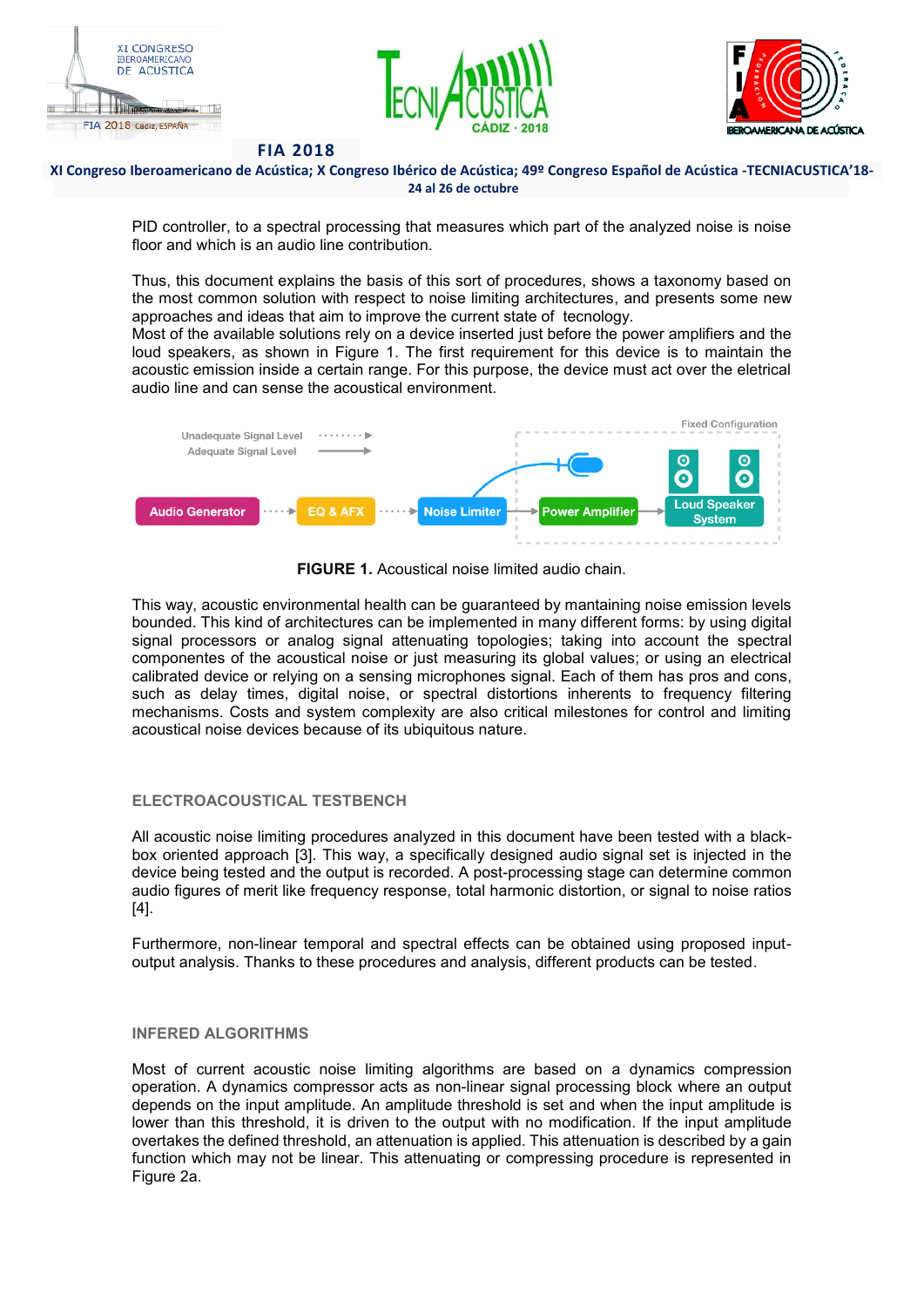





**XI Congreso Iberoamericano de Acústica; X Congreso Ibérico de Acústica; 49º Congreso Español de Acústica -TECNIACUSTICA'18- 24 al 26 de octubre**

PID controller, to a spectral processing that measures which part of the analyzed noise is noise floor and which is an audio line contribution.

Thus, this document explains the basis of this sort of procedures, shows a taxonomy based on the most common solution with respect to noise limiting architectures, and presents some new approaches and ideas that aim to improve the current state of tecnology.

Most of the available solutions rely on a device inserted just before the power amplifiers and the loud speakers, as shown in Figure 1. The first requirement for this device is to maintain the acoustic emission inside a certain range. For this purpose, the device must act over the eletrical audio line and can sense the acoustical environment.



**FIGURE 1.** Acoustical noise limited audio chain.

This way, acoustic environmental health can be guaranteed by mantaining noise emission levels bounded. This kind of architectures can be implemented in many different forms: by using digital signal processors or analog signal attenuating topologies; taking into account the spectral componentes of the acoustical noise or just measuring its global values; or using an electrical calibrated device or relying on a sensing microphones signal. Each of them has pros and cons, such as delay times, digital noise, or spectral distortions inherents to frequency filtering mechanisms. Costs and system complexity are also critical milestones for control and limiting acoustical noise devices because of its ubiquitous nature.

## **ELECTROACOUSTICAL TESTBENCH**

All acoustic noise limiting procedures analyzed in this document have been tested with a blackbox oriented approach [3]. This way, a specifically designed audio signal set is injected in the device being tested and the output is recorded. A post-processing stage can determine common audio figures of merit like frequency response, total harmonic distortion, or signal to noise ratios [4].

Furthermore, non-linear temporal and spectral effects can be obtained using proposed inputoutput analysis. Thanks to these procedures and analysis, different products can be tested.

## **INFERED ALGORITHMS**

Most of current acoustic noise limiting algorithms are based on a dynamics compression operation. A dynamics compressor acts as non-linear signal processing block where an output depends on the input amplitude. An amplitude threshold is set and when the input amplitude is lower than this threshold, it is driven to the output with no modification. If the input amplitude overtakes the defined threshold, an attenuation is applied. This attenuation is described by a gain function which may not be linear. This attenuating or compressing procedure is represented in Figure 2a.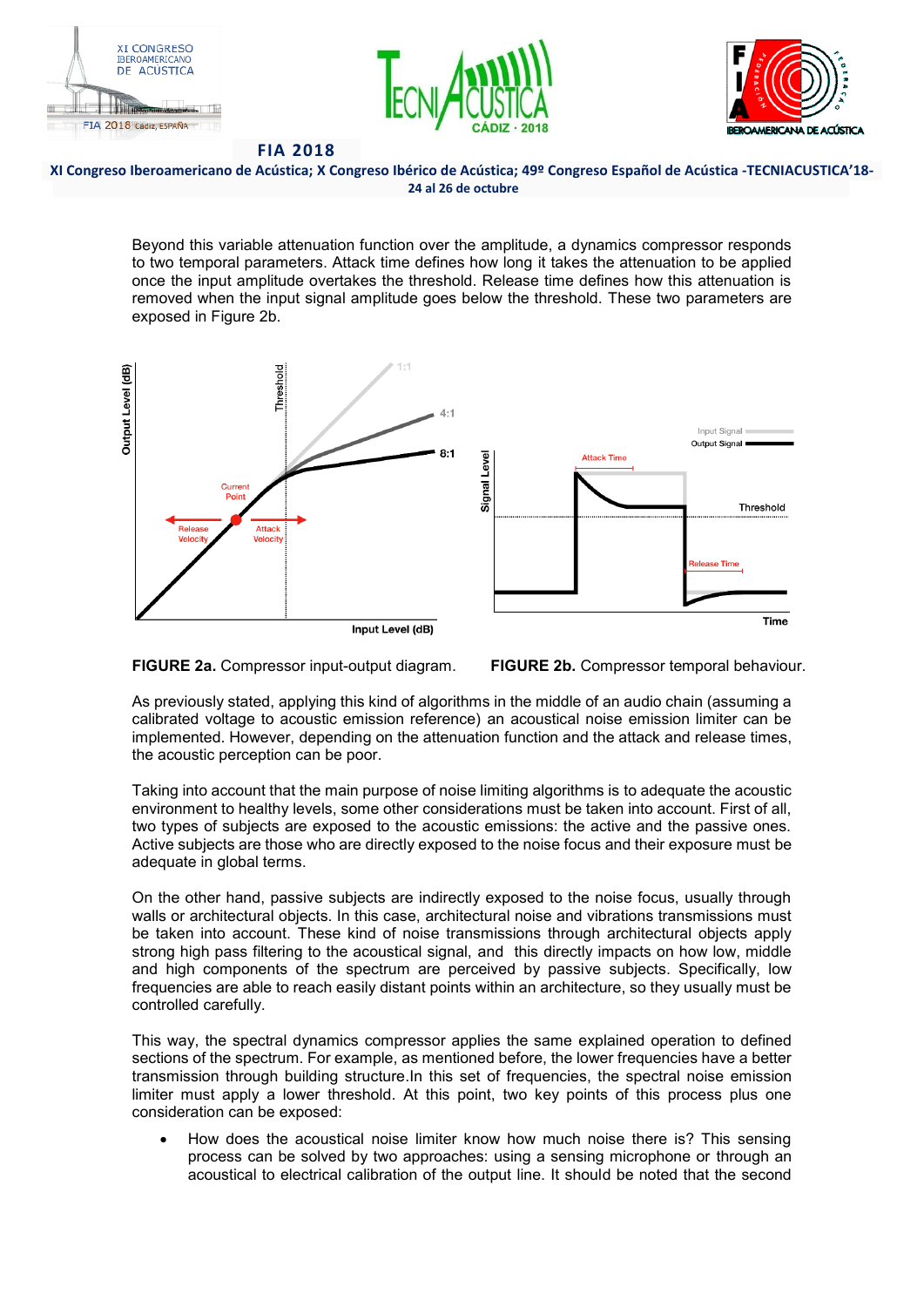





**XI Congreso Iberoamericano de Acústica; X Congreso Ibérico de Acústica; 49º Congreso Español de Acústica -TECNIACUSTICA'18- 24 al 26 de octubre**

Beyond this variable attenuation function over the amplitude, a dynamics compressor responds to two temporal parameters. Attack time defines how long it takes the attenuation to be applied once the input amplitude overtakes the threshold. Release time defines how this attenuation is removed when the input signal amplitude goes below the threshold. These two parameters are exposed in Figure 2b.





As previously stated, applying this kind of algorithms in the middle of an audio chain (assuming a calibrated voltage to acoustic emission reference) an acoustical noise emission limiter can be implemented. However, depending on the attenuation function and the attack and release times, the acoustic perception can be poor.

Taking into account that the main purpose of noise limiting algorithms is to adequate the acoustic environment to healthy levels, some other considerations must be taken into account. First of all, two types of subjects are exposed to the acoustic emissions: the active and the passive ones. Active subjects are those who are directly exposed to the noise focus and their exposure must be adequate in global terms.

On the other hand, passive subjects are indirectly exposed to the noise focus, usually through walls or architectural objects. In this case, architectural noise and vibrations transmissions must be taken into account. These kind of noise transmissions through architectural objects apply strong high pass filtering to the acoustical signal, and this directly impacts on how low, middle and high components of the spectrum are perceived by passive subjects. Specifically, low frequencies are able to reach easily distant points within an architecture, so they usually must be controlled carefully.

This way, the spectral dynamics compressor applies the same explained operation to defined sections of the spectrum. For example, as mentioned before, the lower frequencies have a better transmission through building structure.In this set of frequencies, the spectral noise emission limiter must apply a lower threshold. At this point, two key points of this process plus one consideration can be exposed:

• How does the acoustical noise limiter know how much noise there is? This sensing process can be solved by two approaches: using a sensing microphone or through an acoustical to electrical calibration of the output line. It should be noted that the second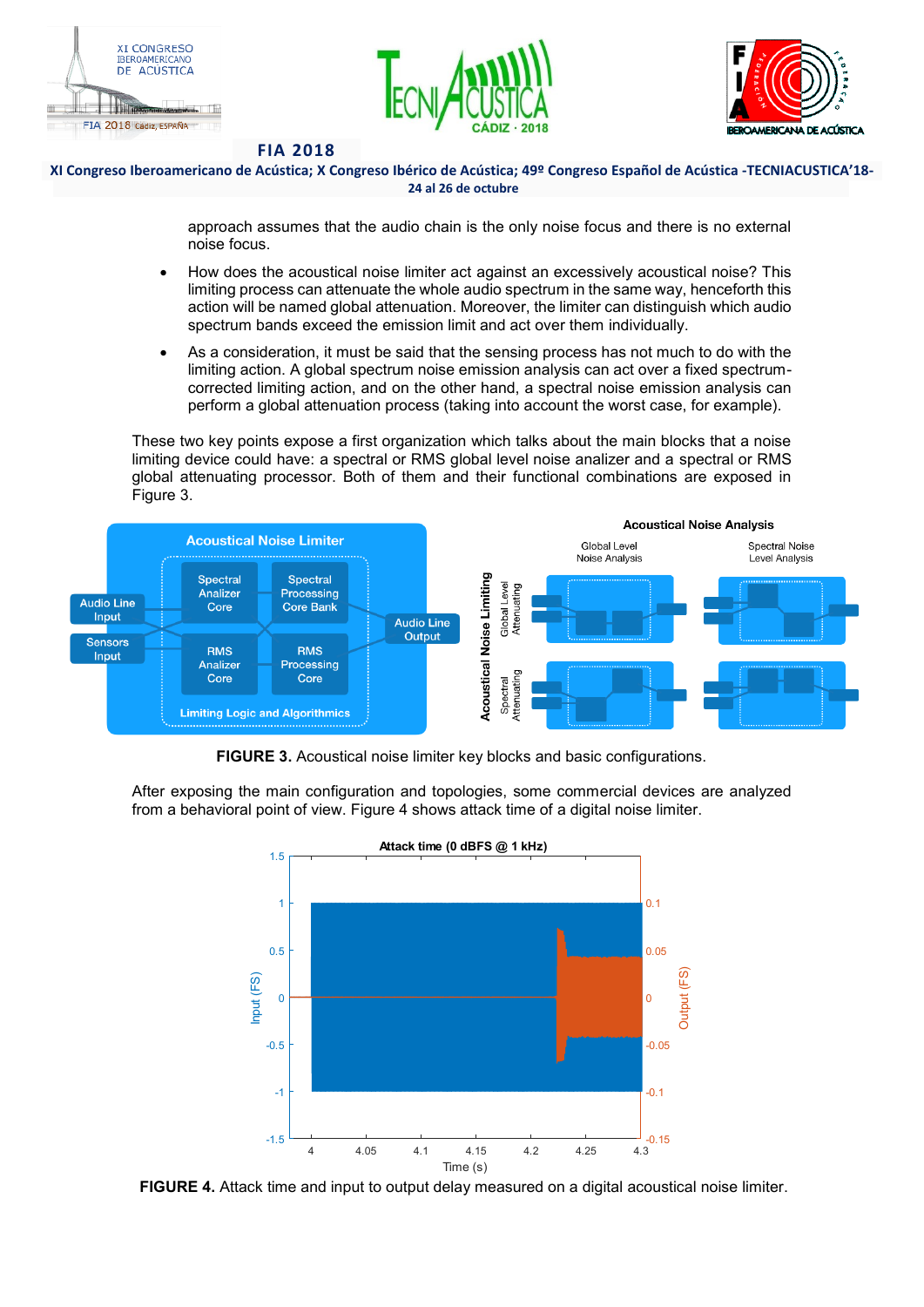





### **XI Congreso Iberoamericano de Acústica; X Congreso Ibérico de Acústica; 49º Congreso Español de Acústica -TECNIACUSTICA'18- 24 al 26 de octubre**

approach assumes that the audio chain is the only noise focus and there is no external noise focus.

- How does the acoustical noise limiter act against an excessively acoustical noise? This limiting process can attenuate the whole audio spectrum in the same way, henceforth this action will be named global attenuation. Moreover, the limiter can distinguish which audio spectrum bands exceed the emission limit and act over them individually.
- As a consideration, it must be said that the sensing process has not much to do with the limiting action. A global spectrum noise emission analysis can act over a fixed spectrumcorrected limiting action, and on the other hand, a spectral noise emission analysis can perform a global attenuation process (taking into account the worst case, for example).

These two key points expose a first organization which talks about the main blocks that a noise limiting device could have: a spectral or RMS global level noise analizer and a spectral or RMS global attenuating processor. Both of them and their functional combinations are exposed in Figure 3.



**FIGURE 3.** Acoustical noise limiter key blocks and basic configurations.

After exposing the main configuration and topologies, some commercial devices are analyzed from a behavioral point of view. Figure 4 shows attack time of a digital noise limiter.



**FIGURE 4.** Attack time and input to output delay measured on a digital acoustical noise limiter.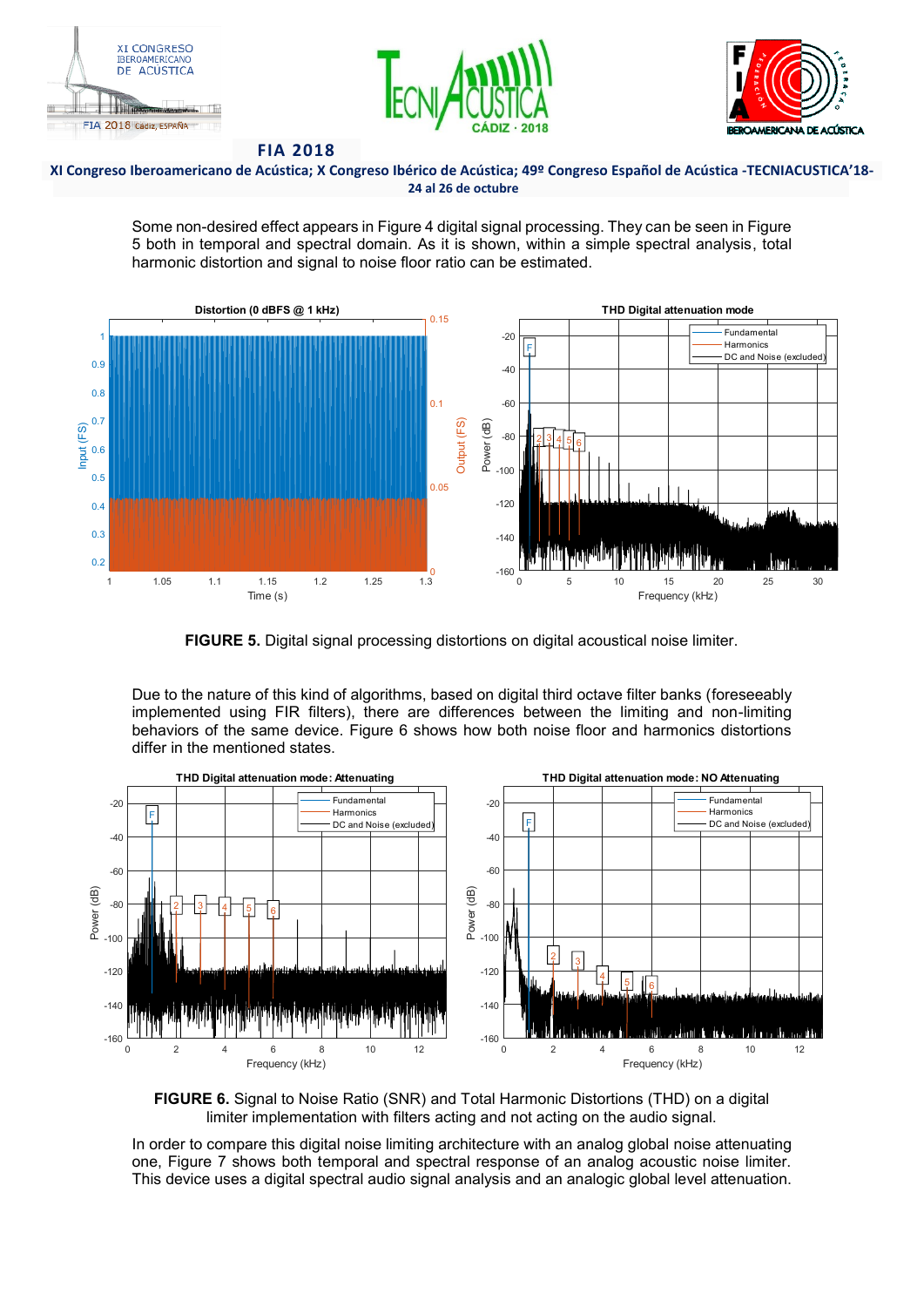





## **XI Congreso Iberoamericano de Acústica; X Congreso Ibérico de Acústica; 49º Congreso Español de Acústica -TECNIACUSTICA'18- 24 al 26 de octubre**

Some non-desired effect appears in Figure 4 digital signal processing. They can be seen in Figure 5 both in temporal and spectral domain. As it is shown, within a simple spectral analysis, total harmonic distortion and signal to noise floor ratio can be estimated.



**FIGURE 5.** Digital signal processing distortions on digital acoustical noise limiter.

Due to the nature of this kind of algorithms, based on digital third octave filter banks (foreseeably implemented using FIR filters), there are differences between the limiting and non-limiting behaviors of the same device. Figure 6 shows how both noise floor and harmonics distortions differ in the mentioned states.



**FIGURE 6.** Signal to Noise Ratio (SNR) and Total Harmonic Distortions (THD) on a digital limiter implementation with filters acting and not acting on the audio signal.

In order to compare this digital noise limiting architecture with an analog global noise attenuating one, Figure 7 shows both temporal and spectral response of an analog acoustic noise limiter. This device uses a digital spectral audio signal analysis and an analogic global level attenuation.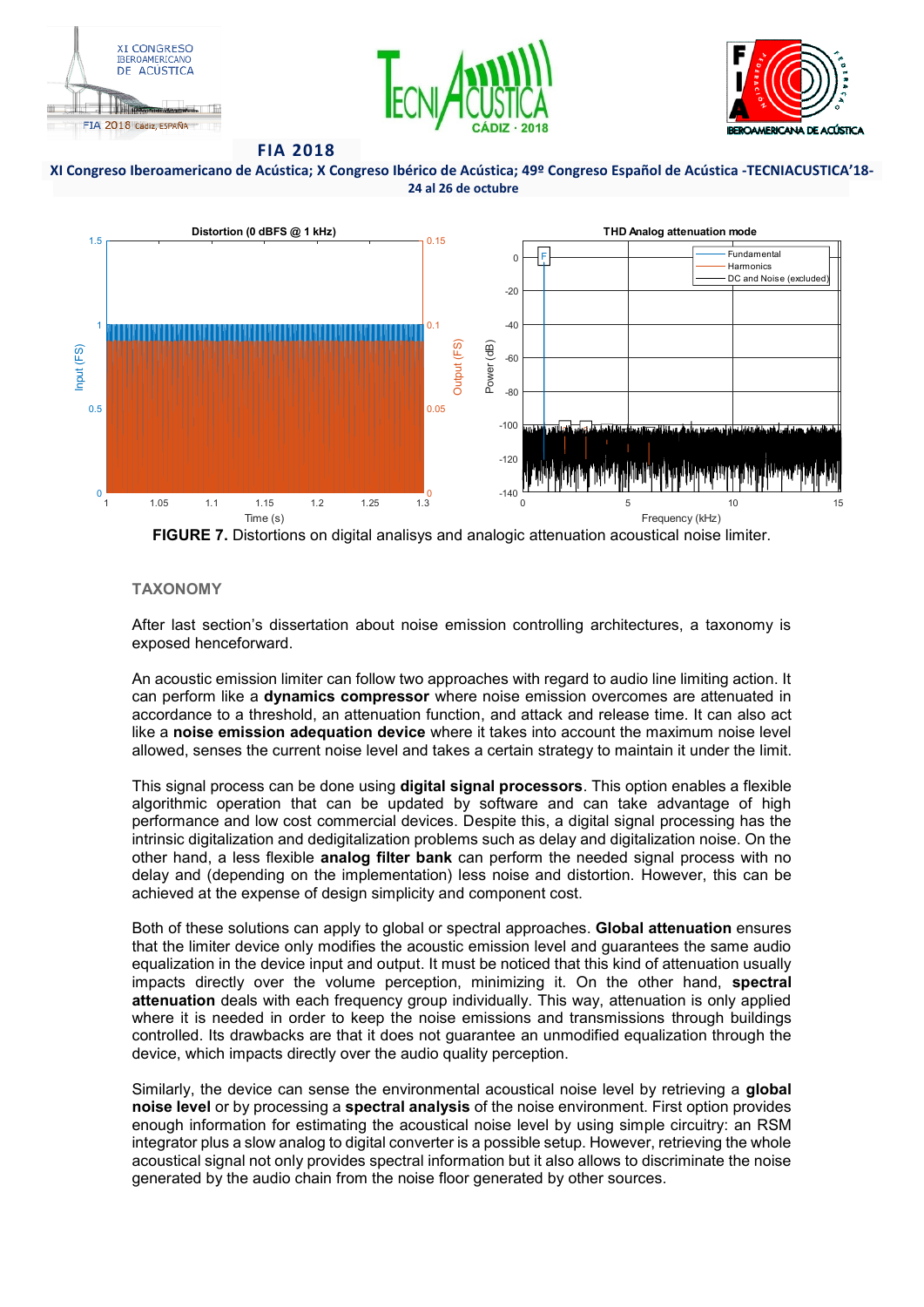





#### **XI Congreso Iberoamericano de Acústica; X Congreso Ibérico de Acústica; 49º Congreso Español de Acústica -TECNIACUSTICA'18- 24 al 26 de octubre**



**FIGURE 7.** Distortions on digital analisys and analogic attenuation acoustical noise limiter.

## **TAXONOMY**

After last section's dissertation about noise emission controlling architectures, a taxonomy is exposed henceforward.

An acoustic emission limiter can follow two approaches with regard to audio line limiting action. It can perform like a **dynamics compressor** where noise emission overcomes are attenuated in accordance to a threshold, an attenuation function, and attack and release time. It can also act like a **noise emission adequation device** where it takes into account the maximum noise level allowed, senses the current noise level and takes a certain strategy to maintain it under the limit.

This signal process can be done using **digital signal processors**. This option enables a flexible algorithmic operation that can be updated by software and can take advantage of high performance and low cost commercial devices. Despite this, a digital signal processing has the intrinsic digitalization and dedigitalization problems such as delay and digitalization noise. On the other hand, a less flexible **analog filter bank** can perform the needed signal process with no delay and (depending on the implementation) less noise and distortion. However, this can be achieved at the expense of design simplicity and component cost.

Both of these solutions can apply to global or spectral approaches. **Global attenuation** ensures that the limiter device only modifies the acoustic emission level and guarantees the same audio equalization in the device input and output. It must be noticed that this kind of attenuation usually impacts directly over the volume perception, minimizing it. On the other hand, **spectral attenuation** deals with each frequency group individually. This way, attenuation is only applied where it is needed in order to keep the noise emissions and transmissions through buildings controlled. Its drawbacks are that it does not guarantee an unmodified equalization through the device, which impacts directly over the audio quality perception.

Similarly, the device can sense the environmental acoustical noise level by retrieving a **global noise level** or by processing a **spectral analysis** of the noise environment. First option provides enough information for estimating the acoustical noise level by using simple circuitry: an RSM integrator plus a slow analog to digital converter is a possible setup. However, retrieving the whole acoustical signal not only provides spectral information but it also allows to discriminate the noise generated by the audio chain from the noise floor generated by other sources.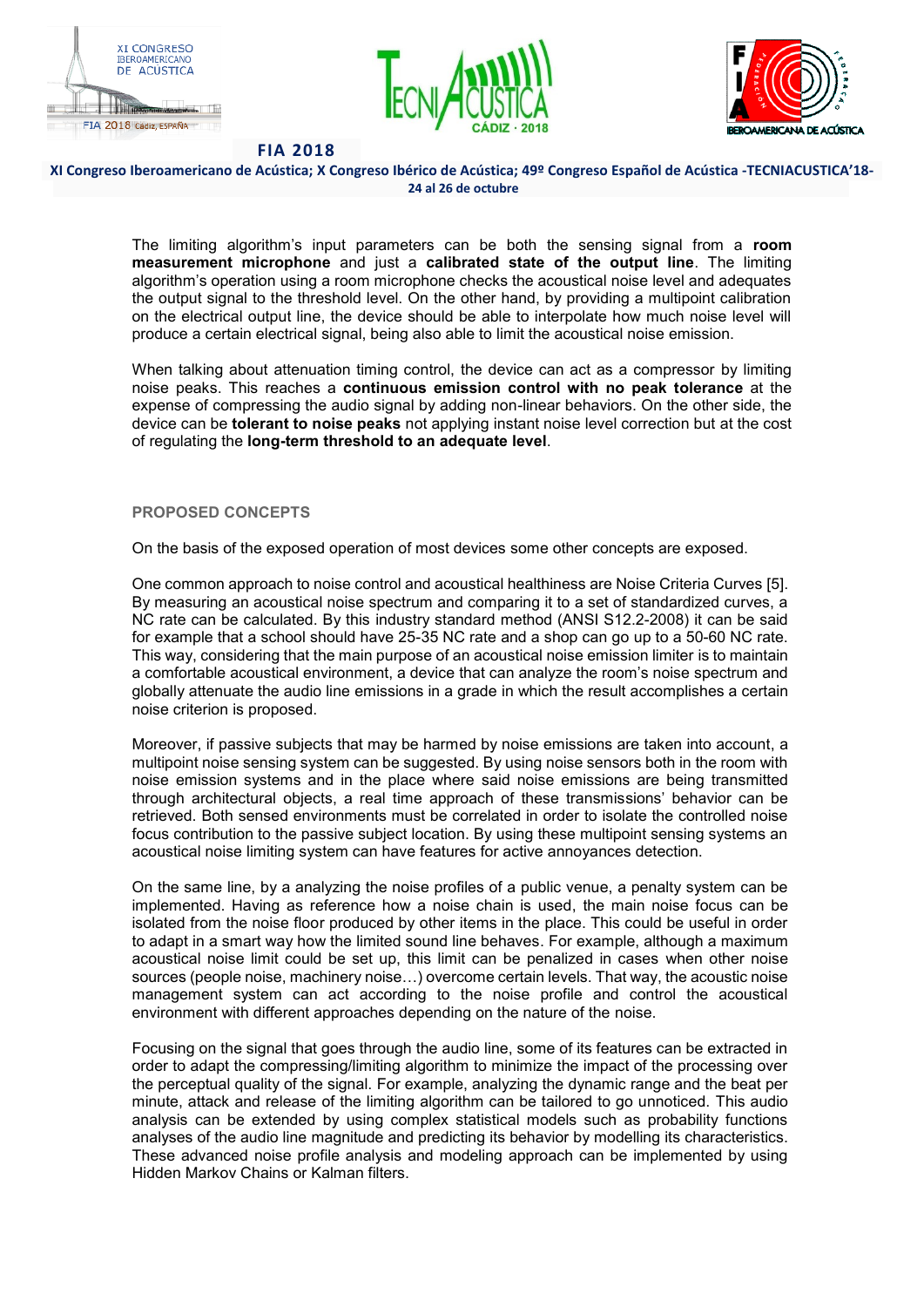





#### **XI Congreso Iberoamericano de Acústica; X Congreso Ibérico de Acústica; 49º Congreso Español de Acústica -TECNIACUSTICA'18- 24 al 26 de octubre**

The limiting algorithm's input parameters can be both the sensing signal from a room **measurement microphone** and just a **calibrated state of the output line**. The limiting algorithm's operation using a room microphone checks the acoustical noise level and adequates the output signal to the threshold level. On the other hand, by providing a multipoint calibration on the electrical output line, the device should be able to interpolate how much noise level will produce a certain electrical signal, being also able to limit the acoustical noise emission.

When talking about attenuation timing control, the device can act as a compressor by limiting noise peaks. This reaches a **continuous emission control with no peak tolerance** at the expense of compressing the audio signal by adding non-linear behaviors. On the other side, the device can be **tolerant to noise peaks** not applying instant noise level correction but at the cost of regulating the **long-term threshold to an adequate level**.

## **PROPOSED CONCEPTS**

On the basis of the exposed operation of most devices some other concepts are exposed.

One common approach to noise control and acoustical healthiness are Noise Criteria Curves [5]. By measuring an acoustical noise spectrum and comparing it to a set of standardized curves, a NC rate can be calculated. By this industry standard method (ANSI S12.2-2008) it can be said for example that a school should have 25-35 NC rate and a shop can go up to a 50-60 NC rate. This way, considering that the main purpose of an acoustical noise emission limiter is to maintain a comfortable acoustical environment, a device that can analyze the room's noise spectrum and globally attenuate the audio line emissions in a grade in which the result accomplishes a certain noise criterion is proposed.

Moreover, if passive subjects that may be harmed by noise emissions are taken into account, a multipoint noise sensing system can be suggested. By using noise sensors both in the room with noise emission systems and in the place where said noise emissions are being transmitted through architectural objects, a real time approach of these transmissions' behavior can be retrieved. Both sensed environments must be correlated in order to isolate the controlled noise focus contribution to the passive subject location. By using these multipoint sensing systems an acoustical noise limiting system can have features for active annoyances detection.

On the same line, by a analyzing the noise profiles of a public venue, a penalty system can be implemented. Having as reference how a noise chain is used, the main noise focus can be isolated from the noise floor produced by other items in the place. This could be useful in order to adapt in a smart way how the limited sound line behaves. For example, although a maximum acoustical noise limit could be set up, this limit can be penalized in cases when other noise sources (people noise, machinery noise...) overcome certain levels. That way, the acoustic noise management system can act according to the noise profile and control the acoustical environment with different approaches depending on the nature of the noise.

Focusing on the signal that goes through the audio line, some of its features can be extracted in order to adapt the compressing/limiting algorithm to minimize the impact of the processing over the perceptual quality of the signal. For example, analyzing the dynamic range and the beat per minute, attack and release of the limiting algorithm can be tailored to go unnoticed. This audio analysis can be extended by using complex statistical models such as probability functions analyses of the audio line magnitude and predicting its behavior by modelling its characteristics. These advanced noise profile analysis and modeling approach can be implemented by using Hidden Markov Chains or Kalman filters.